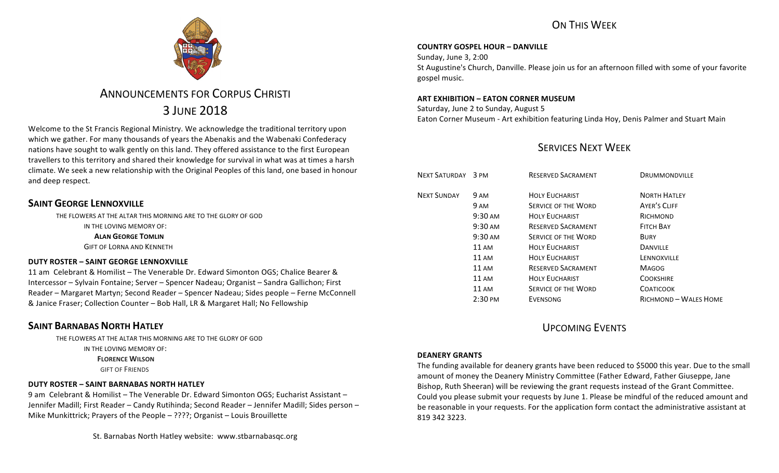

# **ANNOUNCEMENTS FOR CORPUS CHRISTI** 3 JUNE 2018

Welcome to the St Francis Regional Ministry. We acknowledge the traditional territory upon which we gather. For many thousands of years the Abenakis and the Wabenaki Confederacy nations have sought to walk gently on this land. They offered assistance to the first European travellers to this territory and shared their knowledge for survival in what was at times a harsh climate. We seek a new relationship with the Original Peoples of this land, one based in honour and deep respect.

## **SAINT GEORGE LENNOXVILLE**

THE FLOWERS AT THE ALTAR THIS MORNING ARE TO THE GLORY OF GOD

IN THE LOVING MEMORY OF:

**ALAN GEORGE TOMLIN** 

**GIFT OF LORNA AND KENNETH** 

### **DUTY ROSTER – SAINT GEORGE LENNOXVILLE**

11 am Celebrant & Homilist – The Venerable Dr. Edward Simonton OGS; Chalice Bearer & Intercessor – Sylvain Fontaine; Server – Spencer Nadeau; Organist – Sandra Gallichon; First Reader – Margaret Martyn; Second Reader – Spencer Nadeau; Sides people – Ferne McConnell & Janice Fraser; Collection Counter – Bob Hall, LR & Margaret Hall; No Fellowship

## **SAINT BARNABAS NORTH HATLEY**

THE FLOWERS AT THE ALTAR THIS MORNING ARE TO THE GLORY OF GOD

IN THE LOVING MEMORY OF:

**FLORENCE WILSON** 

**GIFT OF FRIENDS** 

## **DUTY ROSTER – SAINT BARNABAS NORTH HATLEY**

9 am Celebrant & Homilist – The Venerable Dr. Edward Simonton OGS; Eucharist Assistant – Jennifer Madill; First Reader – Candy Rutihinda; Second Reader – Jennifer Madill; Sides person – Mike Munkittrick; Prayers of the People  $-$  ????; Organist  $-$  Louis Brouillette

# ON THIS WFFK

### **COUNTRY GOSPEL HOUR – DANVILLE**

Sunday, June 3, 2:00 St Augustine's Church, Danville. Please join us for an afternoon filled with some of your favorite gospel music.

### **ART EXHIBITION – EATON CORNER MUSEUM**

Saturday, June 2 to Sunday, August 5 Eaton Corner Museum - Art exhibition featuring Linda Hoy, Denis Palmer and Stuart Main

## SERVICES NEXT WEEK

| NEXT SATURDAY 3 PM |                   | <b>RESERVED SACRAMENT</b>  | DRUMMONDVILLE         |
|--------------------|-------------------|----------------------------|-----------------------|
| <b>NEXT SUNDAY</b> | 9 AM              | <b>HOLY EUCHARIST</b>      | <b>NORTH HATLEY</b>   |
|                    | 9 AM              | <b>SERVICE OF THE WORD</b> | <b>AYER'S CLIFF</b>   |
|                    | $9:30 \text{ AM}$ | <b>HOLY EUCHARIST</b>      | RICHMOND              |
|                    | $9:30 \text{ AM}$ | <b>RESERVED SACRAMENT</b>  | <b>FITCH BAY</b>      |
|                    | $9:30 \text{ AM}$ | <b>SERVICE OF THE WORD</b> | <b>BURY</b>           |
|                    | $11 \text{ AM}$   | <b>HOLY EUCHARIST</b>      | <b>DANVILLE</b>       |
|                    | 11 AM             | <b>HOLY EUCHARIST</b>      | LENNOXVILLE           |
|                    | $11 \text{ AM}$   | <b>RESERVED SACRAMENT</b>  | <b>MAGOG</b>          |
|                    | $11 \text{ AM}$   | <b>HOLY EUCHARIST</b>      | <b>COOKSHIRE</b>      |
|                    | 11 AM             | <b>SERVICE OF THE WORD</b> | <b>COATICOOK</b>      |
|                    | $2:30 \text{ PM}$ | <b>EVENSONG</b>            | RICHMOND - WALES HOME |

## UPCOMING EVENTS

### **DEANERY GRANTS**

The funding available for deanery grants have been reduced to \$5000 this year. Due to the small amount of money the Deanery Ministry Committee (Father Edward, Father Giuseppe, Jane Bishop, Ruth Sheeran) will be reviewing the grant requests instead of the Grant Committee. Could you please submit your requests by June 1. Please be mindful of the reduced amount and be reasonable in your requests. For the application form contact the administrative assistant at 819 342 3223.